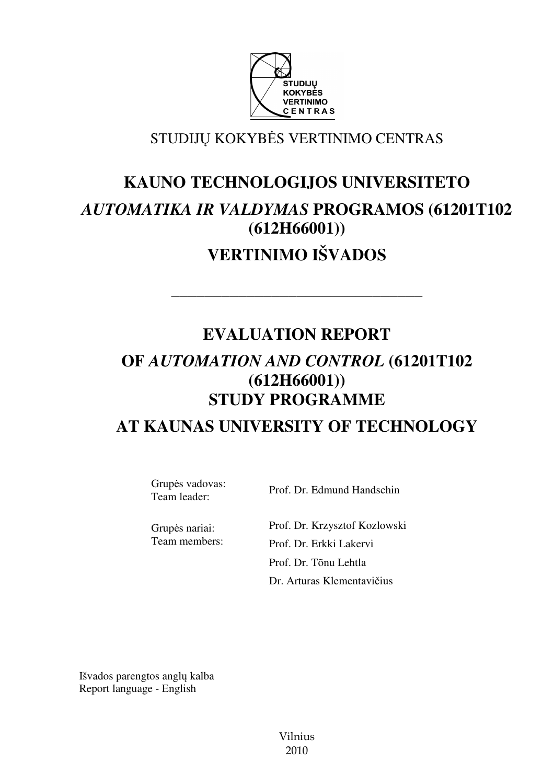

# STUDIJŲ KOKYBĖS VERTINIMO CENTRAS

# **KAUNO TECHNOLOGIJOS UNIVERSITETO**  *AUTOMATIKA IR VALDYMAS* **PROGRAMOS (61201T102 (612H66001))**

# **VERTINIMO IŠVADOS**

––––––––––––––––––––––––––––––

# **EVALUATION REPORT OF** *AUTOMATION AND CONTROL* **(61201T102 (612H66001)) STUDY PROGRAMME AT KAUNAS UNIVERSITY OF TECHNOLOGY**

Grupės vadovas:<br>Team leader:

Prof. Dr. Edmund Handschin

Grupės nariai: Prof. Dr. Krzysztof Kozlowski Team members: Prof. Dr. Erkki Lakervi Prof. Dr. Tõnu Lehtla Dr. Arturas Klementavičius

Išvados parengtos anglų kalba Report language - English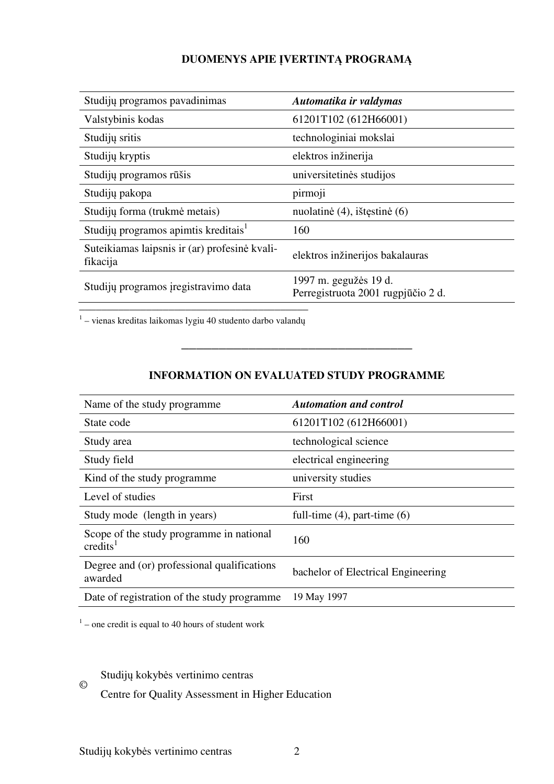# **DUOMENYS APIE** Į**VERTINT**Ą **PROGRAM**Ą

| Studijų programos pavadinimas                             | Automatika ir valdymas                                      |
|-----------------------------------------------------------|-------------------------------------------------------------|
| Valstybinis kodas                                         | 61201T102 (612H66001)                                       |
| Studijų sritis                                            | technologiniai mokslai                                      |
| Studijų kryptis                                           | elektros inžinerija                                         |
| Studijų programos rūšis                                   | universitetinės studijos                                    |
| Studijų pakopa                                            | pirmoji                                                     |
| Studijų forma (trukmė metais)                             | nuolatinė (4), ištęstinė (6)                                |
| Studijų programos apimtis kreditais <sup>1</sup>          | 160                                                         |
| Suteikiamas laipsnis ir (ar) profesinė kvali-<br>fikacija | elektros inžinerijos bakalauras                             |
| Studijų programos įregistravimo data                      | 1997 m. gegužės 19 d.<br>Perregistruota 2001 rugpjūčio 2 d. |

––––––––––––––––––––––––––––––––––––––––– 1 – vienas kreditas laikomas lygiu 40 studento darbo valandų

# **INFORMATION ON EVALUATED STUDY PROGRAMME**

–––––––––––––––––––––––––––––––

| Name of the study programme                                      | <b>Automation and control</b>      |
|------------------------------------------------------------------|------------------------------------|
| State code                                                       | 61201T102 (612H66001)              |
| Study area                                                       | technological science              |
| Study field                                                      | electrical engineering             |
| Kind of the study programme.                                     | university studies                 |
| Level of studies                                                 | First                              |
| Study mode (length in years)                                     | full-time $(4)$ , part-time $(6)$  |
| Scope of the study programme in national<br>$\mathrm{credits}^1$ | 160                                |
| Degree and (or) professional qualifications<br>awarded           | bachelor of Electrical Engineering |
| Date of registration of the study programme                      | 19 May 1997                        |

 $1$  – one credit is equal to 40 hours of student work

Studijų kokybės vertinimo centras

Centre for Quality Assessment in Higher Education

©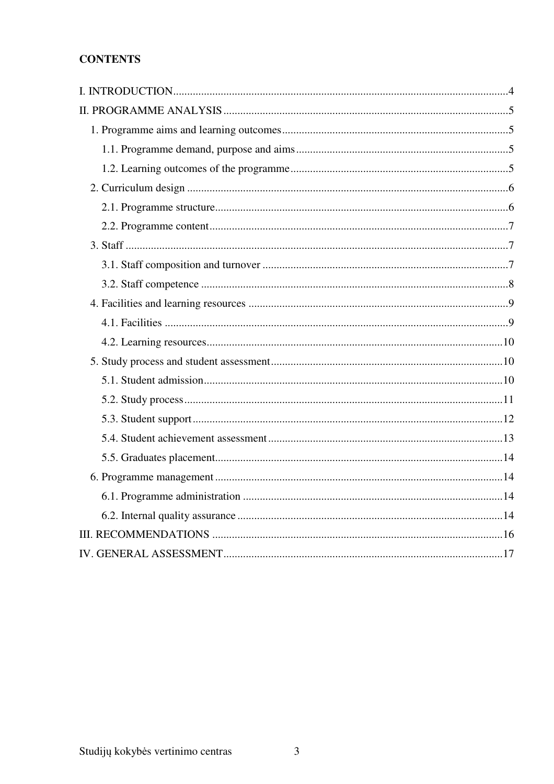# **CONTENTS**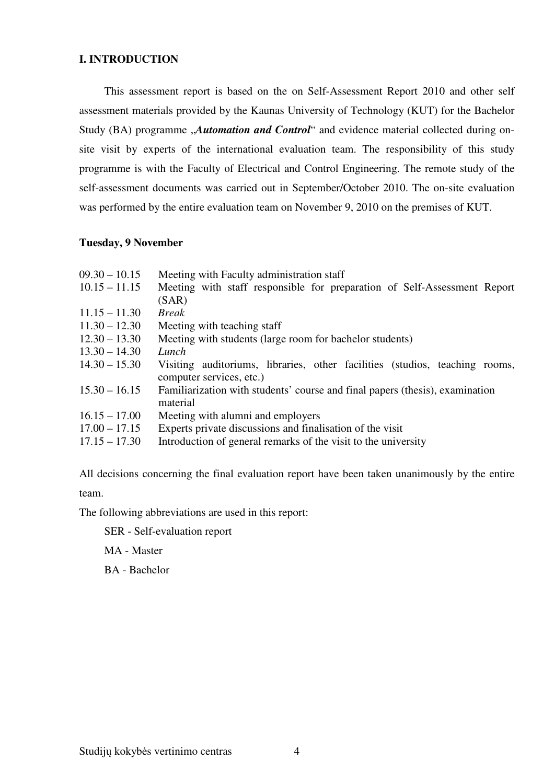## **I. INTRODUCTION**

This assessment report is based on the on Self-Assessment Report 2010 and other self assessment materials provided by the Kaunas University of Technology (KUT) for the Bachelor Study (BA) programme *"Automation and Control*" and evidence material collected during onsite visit by experts of the international evaluation team. The responsibility of this study programme is with the Faculty of Electrical and Control Engineering. The remote study of the self-assessment documents was carried out in September/October 2010. The on-site evaluation was performed by the entire evaluation team on November 9, 2010 on the premises of KUT.

## **Tuesday, 9 November**

| $09.30 - 10.15$ | Meeting with Faculty administration staff                                                               |
|-----------------|---------------------------------------------------------------------------------------------------------|
| $10.15 - 11.15$ | Meeting with staff responsible for preparation of Self-Assessment Report<br>(SAR)                       |
| $11.15 - 11.30$ | <b>Break</b>                                                                                            |
| $11.30 - 12.30$ | Meeting with teaching staff                                                                             |
| $12.30 - 13.30$ | Meeting with students (large room for bachelor students)                                                |
| $13.30 - 14.30$ | Lunch                                                                                                   |
| $14.30 - 15.30$ | Visiting auditoriums, libraries, other facilities (studios, teaching rooms,<br>computer services, etc.) |
| $15.30 - 16.15$ | Familiarization with students' course and final papers (thesis), examination<br>material                |
| $16.15 - 17.00$ | Meeting with alumni and employers                                                                       |
| $17.00 - 17.15$ | Experts private discussions and finalisation of the visit                                               |
| $17.15 - 17.30$ | Introduction of general remarks of the visit to the university                                          |
|                 |                                                                                                         |

All decisions concerning the final evaluation report have been taken unanimously by the entire team.

The following abbreviations are used in this report:

SER - Self-evaluation report

MA - Master

BA - Bachelor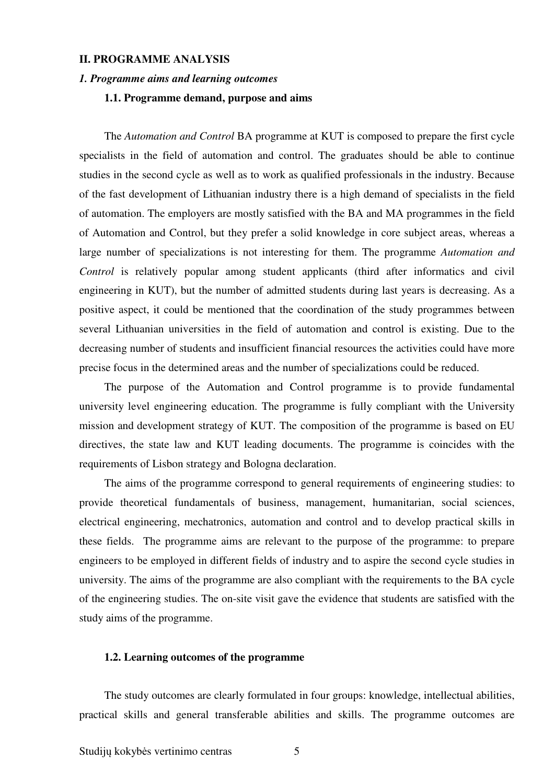### **II. PROGRAMME ANALYSIS**

#### *1. Programme aims and learning outcomes*

### **1.1. Programme demand, purpose and aims**

The *Automation and Control* BA programme at KUT is composed to prepare the first cycle specialists in the field of automation and control. The graduates should be able to continue studies in the second cycle as well as to work as qualified professionals in the industry. Because of the fast development of Lithuanian industry there is a high demand of specialists in the field of automation. The employers are mostly satisfied with the BA and MA programmes in the field of Automation and Control, but they prefer a solid knowledge in core subject areas, whereas a large number of specializations is not interesting for them. The programme *Automation and Control* is relatively popular among student applicants (third after informatics and civil engineering in KUT), but the number of admitted students during last years is decreasing. As a positive aspect, it could be mentioned that the coordination of the study programmes between several Lithuanian universities in the field of automation and control is existing. Due to the decreasing number of students and insufficient financial resources the activities could have more precise focus in the determined areas and the number of specializations could be reduced.

The purpose of the Automation and Control programme is to provide fundamental university level engineering education. The programme is fully compliant with the University mission and development strategy of KUT. The composition of the programme is based on EU directives, the state law and KUT leading documents. The programme is coincides with the requirements of Lisbon strategy and Bologna declaration.

The aims of the programme correspond to general requirements of engineering studies: to provide theoretical fundamentals of business, management, humanitarian, social sciences, electrical engineering, mechatronics, automation and control and to develop practical skills in these fields. The programme aims are relevant to the purpose of the programme: to prepare engineers to be employed in different fields of industry and to aspire the second cycle studies in university. The aims of the programme are also compliant with the requirements to the BA cycle of the engineering studies. The on-site visit gave the evidence that students are satisfied with the study aims of the programme.

#### **1.2. Learning outcomes of the programme**

The study outcomes are clearly formulated in four groups: knowledge, intellectual abilities, practical skills and general transferable abilities and skills. The programme outcomes are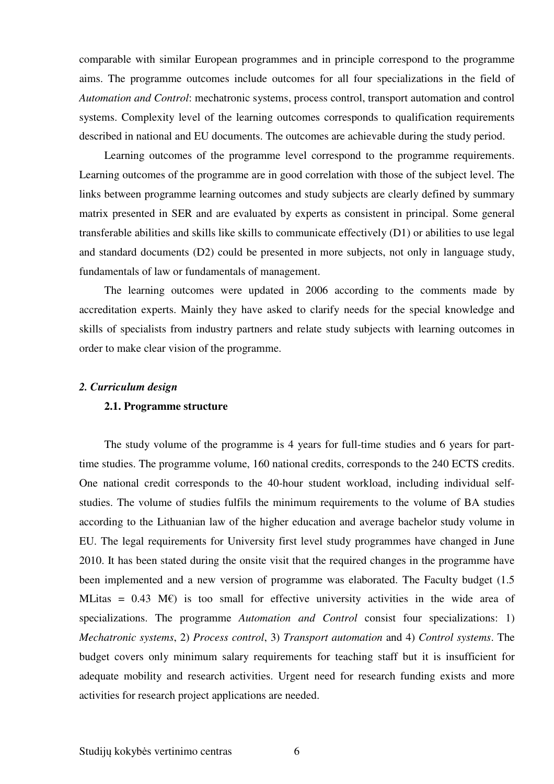comparable with similar European programmes and in principle correspond to the programme aims. The programme outcomes include outcomes for all four specializations in the field of *Automation and Control*: mechatronic systems, process control, transport automation and control systems. Complexity level of the learning outcomes corresponds to qualification requirements described in national and EU documents. The outcomes are achievable during the study period.

Learning outcomes of the programme level correspond to the programme requirements. Learning outcomes of the programme are in good correlation with those of the subject level. The links between programme learning outcomes and study subjects are clearly defined by summary matrix presented in SER and are evaluated by experts as consistent in principal. Some general transferable abilities and skills like skills to communicate effectively (D1) or abilities to use legal and standard documents (D2) could be presented in more subjects, not only in language study, fundamentals of law or fundamentals of management.

The learning outcomes were updated in 2006 according to the comments made by accreditation experts. Mainly they have asked to clarify needs for the special knowledge and skills of specialists from industry partners and relate study subjects with learning outcomes in order to make clear vision of the programme.

#### *2. Curriculum design*

#### **2.1. Programme structure**

The study volume of the programme is 4 years for full-time studies and 6 years for parttime studies. The programme volume, 160 national credits, corresponds to the 240 ECTS credits. One national credit corresponds to the 40-hour student workload, including individual selfstudies. The volume of studies fulfils the minimum requirements to the volume of BA studies according to the Lithuanian law of the higher education and average bachelor study volume in EU. The legal requirements for University first level study programmes have changed in June 2010. It has been stated during the onsite visit that the required changes in the programme have been implemented and a new version of programme was elaborated. The Faculty budget (1.5 MLitas =  $0.43$  M $\varepsilon$ ) is too small for effective university activities in the wide area of specializations. The programme *Automation and Control* consist four specializations: 1) *Mechatronic systems*, 2) *Process control*, 3) *Transport automation* and 4) *Control systems*. The budget covers only minimum salary requirements for teaching staff but it is insufficient for adequate mobility and research activities. Urgent need for research funding exists and more activities for research project applications are needed.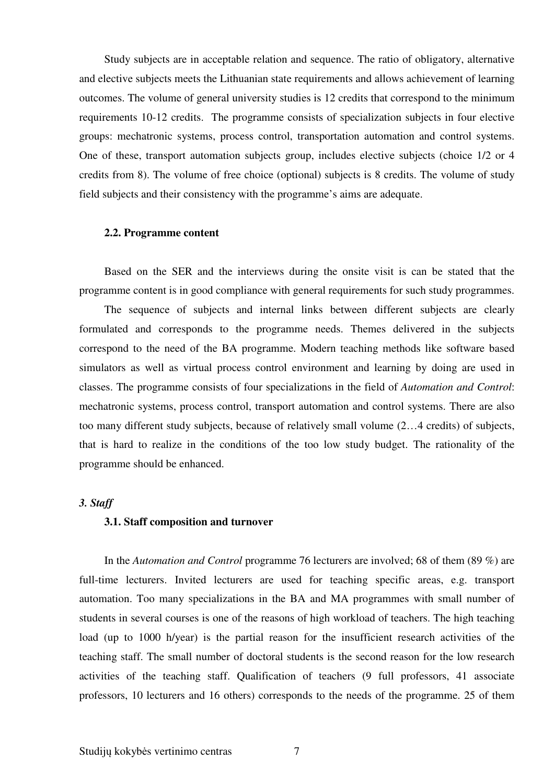Study subjects are in acceptable relation and sequence. The ratio of obligatory, alternative and elective subjects meets the Lithuanian state requirements and allows achievement of learning outcomes. The volume of general university studies is 12 credits that correspond to the minimum requirements 10-12 credits. The programme consists of specialization subjects in four elective groups: mechatronic systems, process control, transportation automation and control systems. One of these, transport automation subjects group, includes elective subjects (choice 1/2 or 4 credits from 8). The volume of free choice (optional) subjects is 8 credits. The volume of study field subjects and their consistency with the programme's aims are adequate.

#### **2.2. Programme content**

Based on the SER and the interviews during the onsite visit is can be stated that the programme content is in good compliance with general requirements for such study programmes.

 The sequence of subjects and internal links between different subjects are clearly formulated and corresponds to the programme needs. Themes delivered in the subjects correspond to the need of the BA programme. Modern teaching methods like software based simulators as well as virtual process control environment and learning by doing are used in classes. The programme consists of four specializations in the field of *Automation and Control*: mechatronic systems, process control, transport automation and control systems. There are also too many different study subjects, because of relatively small volume (2…4 credits) of subjects, that is hard to realize in the conditions of the too low study budget. The rationality of the programme should be enhanced.

#### *3. Staff*

## **3.1. Staff composition and turnover**

In the *Automation and Control* programme 76 lecturers are involved; 68 of them (89 %) are full-time lecturers. Invited lecturers are used for teaching specific areas, e.g. transport automation. Too many specializations in the BA and MA programmes with small number of students in several courses is one of the reasons of high workload of teachers. The high teaching load (up to 1000 h/year) is the partial reason for the insufficient research activities of the teaching staff. The small number of doctoral students is the second reason for the low research activities of the teaching staff. Qualification of teachers (9 full professors, 41 associate professors, 10 lecturers and 16 others) corresponds to the needs of the programme. 25 of them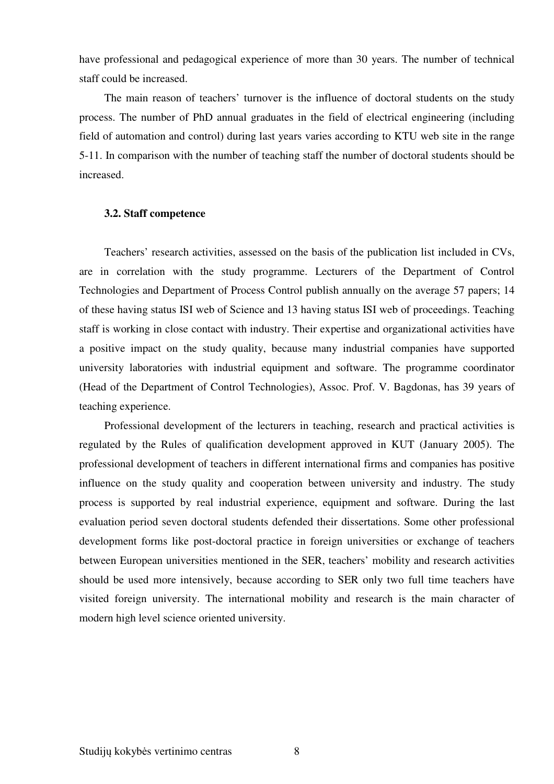have professional and pedagogical experience of more than 30 years. The number of technical staff could be increased.

 The main reason of teachers' turnover is the influence of doctoral students on the study process. The number of PhD annual graduates in the field of electrical engineering (including field of automation and control) during last years varies according to KTU web site in the range 5-11. In comparison with the number of teaching staff the number of doctoral students should be increased.

#### **3.2. Staff competence**

 Teachers' research activities, assessed on the basis of the publication list included in CVs, are in correlation with the study programme. Lecturers of the Department of Control Technologies and Department of Process Control publish annually on the average 57 papers; 14 of these having status ISI web of Science and 13 having status ISI web of proceedings. Teaching staff is working in close contact with industry. Their expertise and organizational activities have a positive impact on the study quality, because many industrial companies have supported university laboratories with industrial equipment and software. The programme coordinator (Head of the Department of Control Technologies), Assoc. Prof. V. Bagdonas, has 39 years of teaching experience.

 Professional development of the lecturers in teaching, research and practical activities is regulated by the Rules of qualification development approved in KUT (January 2005). The professional development of teachers in different international firms and companies has positive influence on the study quality and cooperation between university and industry. The study process is supported by real industrial experience, equipment and software. During the last evaluation period seven doctoral students defended their dissertations. Some other professional development forms like post-doctoral practice in foreign universities or exchange of teachers between European universities mentioned in the SER, teachers' mobility and research activities should be used more intensively, because according to SER only two full time teachers have visited foreign university. The international mobility and research is the main character of modern high level science oriented university.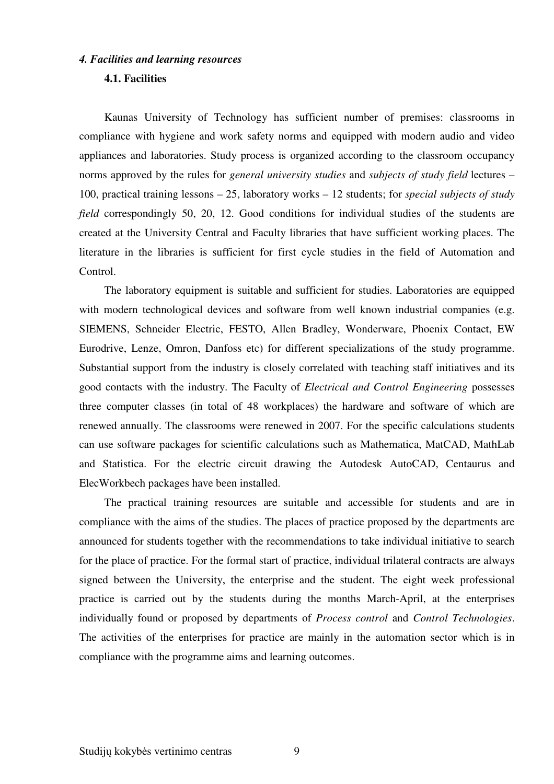#### *4. Facilities and learning resources*

### **4.1. Facilities**

Kaunas University of Technology has sufficient number of premises: classrooms in compliance with hygiene and work safety norms and equipped with modern audio and video appliances and laboratories. Study process is organized according to the classroom occupancy norms approved by the rules for *general university studies* and *subjects of study field* lectures – 100, practical training lessons – 25, laboratory works – 12 students; for *special subjects of study field* correspondingly 50, 20, 12. Good conditions for individual studies of the students are created at the University Central and Faculty libraries that have sufficient working places. The literature in the libraries is sufficient for first cycle studies in the field of Automation and Control.

The laboratory equipment is suitable and sufficient for studies. Laboratories are equipped with modern technological devices and software from well known industrial companies (e.g. SIEMENS, Schneider Electric, FESTO, Allen Bradley, Wonderware, Phoenix Contact, EW Eurodrive, Lenze, Omron, Danfoss etc) for different specializations of the study programme. Substantial support from the industry is closely correlated with teaching staff initiatives and its good contacts with the industry. The Faculty of *Electrical and Control Engineering* possesses three computer classes (in total of 48 workplaces) the hardware and software of which are renewed annually. The classrooms were renewed in 2007. For the specific calculations students can use software packages for scientific calculations such as Mathematica, MatCAD, MathLab and Statistica. For the electric circuit drawing the Autodesk AutoCAD, Centaurus and ElecWorkbech packages have been installed.

The practical training resources are suitable and accessible for students and are in compliance with the aims of the studies. The places of practice proposed by the departments are announced for students together with the recommendations to take individual initiative to search for the place of practice. For the formal start of practice, individual trilateral contracts are always signed between the University, the enterprise and the student. The eight week professional practice is carried out by the students during the months March-April, at the enterprises individually found or proposed by departments of *Process control* and *Control Technologies*. The activities of the enterprises for practice are mainly in the automation sector which is in compliance with the programme aims and learning outcomes.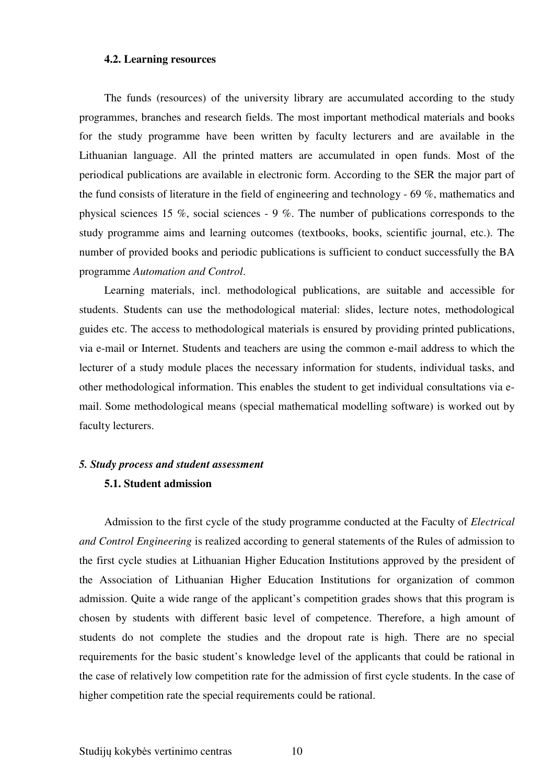#### **4.2. Learning resources**

The funds (resources) of the university library are accumulated according to the study programmes, branches and research fields. The most important methodical materials and books for the study programme have been written by faculty lecturers and are available in the Lithuanian language. All the printed matters are accumulated in open funds. Most of the periodical publications are available in electronic form. According to the SER the major part of the fund consists of literature in the field of engineering and technology - 69 %, mathematics and physical sciences 15 %, social sciences - 9 %. The number of publications corresponds to the study programme aims and learning outcomes (textbooks, books, scientific journal, etc.). The number of provided books and periodic publications is sufficient to conduct successfully the BA programme *Automation and Control*.

Learning materials, incl. methodological publications, are suitable and accessible for students. Students can use the methodological material: slides, lecture notes, methodological guides etc. The access to methodological materials is ensured by providing printed publications, via e-mail or Internet. Students and teachers are using the common e-mail address to which the lecturer of a study module places the necessary information for students, individual tasks, and other methodological information. This enables the student to get individual consultations via email. Some methodological means (special mathematical modelling software) is worked out by faculty lecturers.

#### *5. Study process and student assessment*

#### **5.1. Student admission**

Admission to the first cycle of the study programme conducted at the Faculty of *Electrical and Control Engineering* is realized according to general statements of the Rules of admission to the first cycle studies at Lithuanian Higher Education Institutions approved by the president of the Association of Lithuanian Higher Education Institutions for organization of common admission. Quite a wide range of the applicant's competition grades shows that this program is chosen by students with different basic level of competence. Therefore, a high amount of students do not complete the studies and the dropout rate is high. There are no special requirements for the basic student's knowledge level of the applicants that could be rational in the case of relatively low competition rate for the admission of first cycle students. In the case of higher competition rate the special requirements could be rational.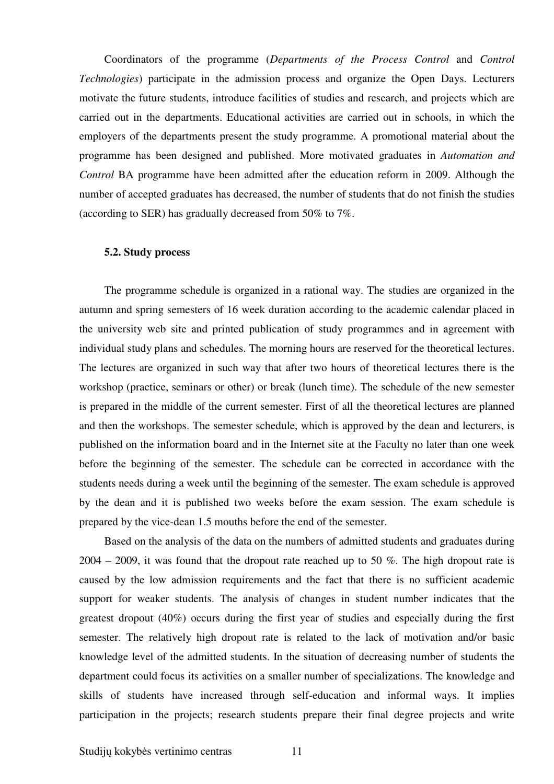Coordinators of the programme (*Departments of the Process Control* and *Control Technologies*) participate in the admission process and organize the Open Days. Lecturers motivate the future students, introduce facilities of studies and research, and projects which are carried out in the departments. Educational activities are carried out in schools, in which the employers of the departments present the study programme. A promotional material about the programme has been designed and published. More motivated graduates in *Automation and Control* BA programme have been admitted after the education reform in 2009. Although the number of accepted graduates has decreased, the number of students that do not finish the studies (according to SER) has gradually decreased from 50% to 7%.

#### **5.2. Study process**

The programme schedule is organized in a rational way. The studies are organized in the autumn and spring semesters of 16 week duration according to the academic calendar placed in the university web site and printed publication of study programmes and in agreement with individual study plans and schedules. The morning hours are reserved for the theoretical lectures. The lectures are organized in such way that after two hours of theoretical lectures there is the workshop (practice, seminars or other) or break (lunch time). The schedule of the new semester is prepared in the middle of the current semester. First of all the theoretical lectures are planned and then the workshops. The semester schedule, which is approved by the dean and lecturers, is published on the information board and in the Internet site at the Faculty no later than one week before the beginning of the semester. The schedule can be corrected in accordance with the students needs during a week until the beginning of the semester. The exam schedule is approved by the dean and it is published two weeks before the exam session. The exam schedule is prepared by the vice-dean 1.5 mouths before the end of the semester.

Based on the analysis of the data on the numbers of admitted students and graduates during  $2004 - 2009$ , it was found that the dropout rate reached up to 50 %. The high dropout rate is caused by the low admission requirements and the fact that there is no sufficient academic support for weaker students. The analysis of changes in student number indicates that the greatest dropout (40%) occurs during the first year of studies and especially during the first semester. The relatively high dropout rate is related to the lack of motivation and/or basic knowledge level of the admitted students. In the situation of decreasing number of students the department could focus its activities on a smaller number of specializations. The knowledge and skills of students have increased through self-education and informal ways. It implies participation in the projects; research students prepare their final degree projects and write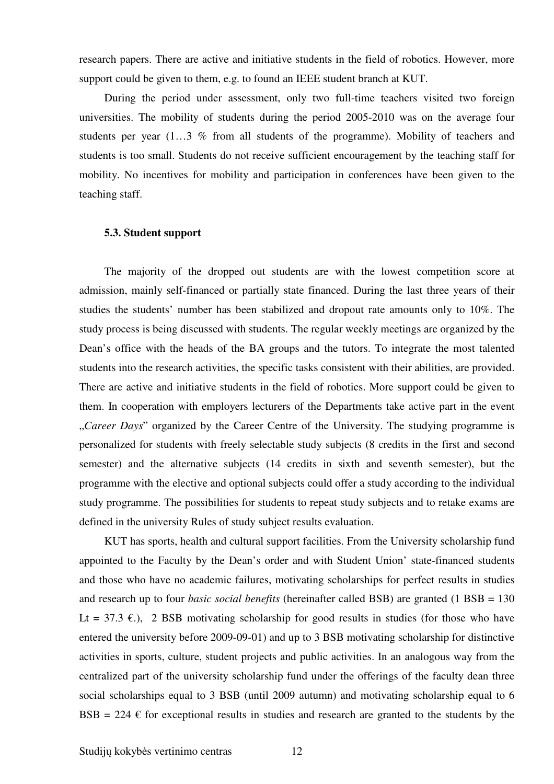research papers. There are active and initiative students in the field of robotics. However, more support could be given to them, e.g. to found an IEEE student branch at KUT.

During the period under assessment, only two full-time teachers visited two foreign universities. The mobility of students during the period 2005-2010 was on the average four students per year (1…3 % from all students of the programme). Mobility of teachers and students is too small. Students do not receive sufficient encouragement by the teaching staff for mobility. No incentives for mobility and participation in conferences have been given to the teaching staff.

#### **5.3. Student support**

The majority of the dropped out students are with the lowest competition score at admission, mainly self-financed or partially state financed. During the last three years of their studies the students' number has been stabilized and dropout rate amounts only to 10%. The study process is being discussed with students. The regular weekly meetings are organized by the Dean's office with the heads of the BA groups and the tutors. To integrate the most talented students into the research activities, the specific tasks consistent with their abilities, are provided. There are active and initiative students in the field of robotics. More support could be given to them. In cooperation with employers lecturers of the Departments take active part in the event "*Career Days*" organized by the Career Centre of the University. The studying programme is personalized for students with freely selectable study subjects (8 credits in the first and second semester) and the alternative subjects (14 credits in sixth and seventh semester), but the programme with the elective and optional subjects could offer a study according to the individual study programme. The possibilities for students to repeat study subjects and to retake exams are defined in the university Rules of study subject results evaluation.

KUT has sports, health and cultural support facilities. From the University scholarship fund appointed to the Faculty by the Dean's order and with Student Union' state-financed students and those who have no academic failures, motivating scholarships for perfect results in studies and research up to four *basic social benefits* (hereinafter called BSB) are granted (1 BSB = 130 Lt = 37.3  $\epsilon$ .), 2 BSB motivating scholarship for good results in studies (for those who have entered the university before 2009-09-01) and up to 3 BSB motivating scholarship for distinctive activities in sports, culture, student projects and public activities. In an analogous way from the centralized part of the university scholarship fund under the offerings of the faculty dean three social scholarships equal to 3 BSB (until 2009 autumn) and motivating scholarship equal to 6 BSB = 224  $\epsilon$  for exceptional results in studies and research are granted to the students by the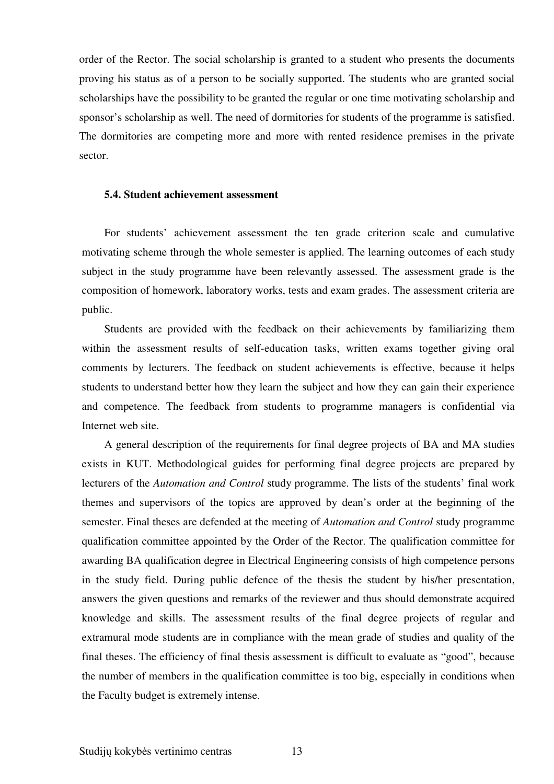order of the Rector. The social scholarship is granted to a student who presents the documents proving his status as of a person to be socially supported. The students who are granted social scholarships have the possibility to be granted the regular or one time motivating scholarship and sponsor's scholarship as well. The need of dormitories for students of the programme is satisfied. The dormitories are competing more and more with rented residence premises in the private sector.

# **5.4. Student achievement assessment**

For students' achievement assessment the ten grade criterion scale and cumulative motivating scheme through the whole semester is applied. The learning outcomes of each study subject in the study programme have been relevantly assessed. The assessment grade is the composition of homework, laboratory works, tests and exam grades. The assessment criteria are public.

Students are provided with the feedback on their achievements by familiarizing them within the assessment results of self-education tasks, written exams together giving oral comments by lecturers. The feedback on student achievements is effective, because it helps students to understand better how they learn the subject and how they can gain their experience and competence. The feedback from students to programme managers is confidential via Internet web site.

A general description of the requirements for final degree projects of BA and MA studies exists in KUT. Methodological guides for performing final degree projects are prepared by lecturers of the *Automation and Control* study programme. The lists of the students' final work themes and supervisors of the topics are approved by dean's order at the beginning of the semester. Final theses are defended at the meeting of *Automation and Control* study programme qualification committee appointed by the Order of the Rector. The qualification committee for awarding BA qualification degree in Electrical Engineering consists of high competence persons in the study field. During public defence of the thesis the student by his/her presentation, answers the given questions and remarks of the reviewer and thus should demonstrate acquired knowledge and skills. The assessment results of the final degree projects of regular and extramural mode students are in compliance with the mean grade of studies and quality of the final theses. The efficiency of final thesis assessment is difficult to evaluate as "good", because the number of members in the qualification committee is too big, especially in conditions when the Faculty budget is extremely intense.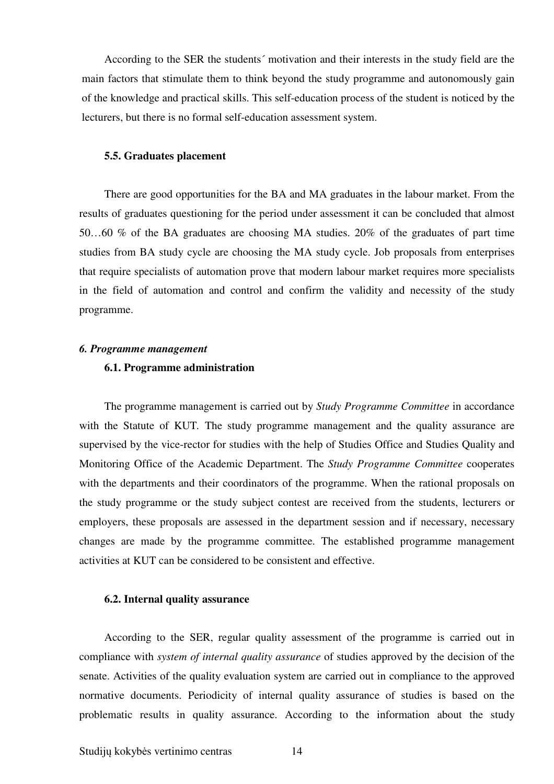According to the SER the students´ motivation and their interests in the study field are the main factors that stimulate them to think beyond the study programme and autonomously gain of the knowledge and practical skills. This self-education process of the student is noticed by the lecturers, but there is no formal self-education assessment system.

#### **5.5. Graduates placement**

There are good opportunities for the BA and MA graduates in the labour market. From the results of graduates questioning for the period under assessment it can be concluded that almost 50…60 % of the BA graduates are choosing MA studies. 20% of the graduates of part time studies from BA study cycle are choosing the MA study cycle. Job proposals from enterprises that require specialists of automation prove that modern labour market requires more specialists in the field of automation and control and confirm the validity and necessity of the study programme.

#### *6. Programme management*

# **6.1. Programme administration**

The programme management is carried out by *Study Programme Committee* in accordance with the Statute of KUT*.* The study programme management and the quality assurance are supervised by the vice-rector for studies with the help of Studies Office and Studies Quality and Monitoring Office of the Academic Department. The *Study Programme Committee* cooperates with the departments and their coordinators of the programme. When the rational proposals on the study programme or the study subject contest are received from the students, lecturers or employers, these proposals are assessed in the department session and if necessary, necessary changes are made by the programme committee. The established programme management activities at KUT can be considered to be consistent and effective.

#### **6.2. Internal quality assurance**

According to the SER, regular quality assessment of the programme is carried out in compliance with *system of internal quality assurance* of studies approved by the decision of the senate. Activities of the quality evaluation system are carried out in compliance to the approved normative documents. Periodicity of internal quality assurance of studies is based on the problematic results in quality assurance. According to the information about the study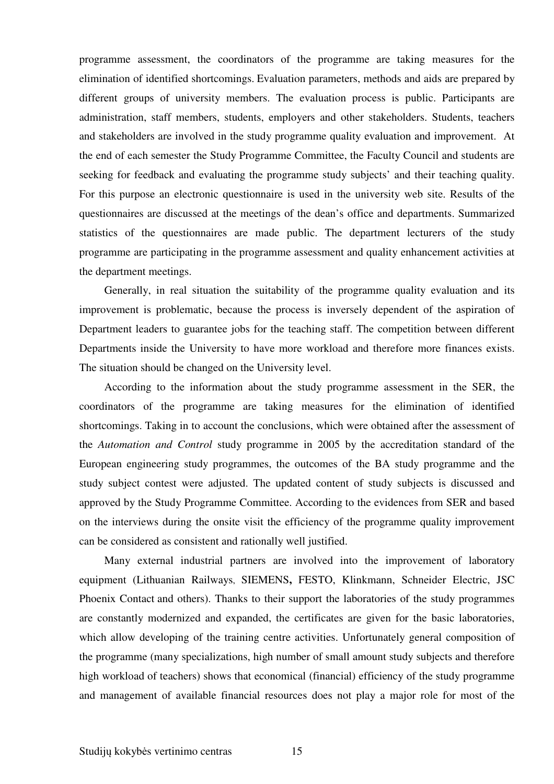programme assessment, the coordinators of the programme are taking measures for the elimination of identified shortcomings. Evaluation parameters, methods and aids are prepared by different groups of university members. The evaluation process is public. Participants are administration, staff members, students, employers and other stakeholders. Students, teachers and stakeholders are involved in the study programme quality evaluation and improvement. At the end of each semester the Study Programme Committee, the Faculty Council and students are seeking for feedback and evaluating the programme study subjects' and their teaching quality. For this purpose an electronic questionnaire is used in the university web site. Results of the questionnaires are discussed at the meetings of the dean's office and departments. Summarized statistics of the questionnaires are made public. The department lecturers of the study programme are participating in the programme assessment and quality enhancement activities at the department meetings.

Generally, in real situation the suitability of the programme quality evaluation and its improvement is problematic, because the process is inversely dependent of the aspiration of Department leaders to guarantee jobs for the teaching staff. The competition between different Departments inside the University to have more workload and therefore more finances exists. The situation should be changed on the University level.

According to the information about the study programme assessment in the SER, the coordinators of the programme are taking measures for the elimination of identified shortcomings. Taking in to account the conclusions, which were obtained after the assessment of the *Automation and Control* study programme in 2005 by the accreditation standard of the European engineering study programmes, the outcomes of the BA study programme and the study subject contest were adjusted. The updated content of study subjects is discussed and approved by the Study Programme Committee. According to the evidences from SER and based on the interviews during the onsite visit the efficiency of the programme quality improvement can be considered as consistent and rationally well justified.

Many external industrial partners are involved into the improvement of laboratory equipment (Lithuanian Railways, SIEMENS**,** FESTO, Klinkmann, Schneider Electric, JSC Phoenix Contact and others). Thanks to their support the laboratories of the study programmes are constantly modernized and expanded, the certificates are given for the basic laboratories, which allow developing of the training centre activities. Unfortunately general composition of the programme (many specializations, high number of small amount study subjects and therefore high workload of teachers) shows that economical (financial) efficiency of the study programme and management of available financial resources does not play a major role for most of the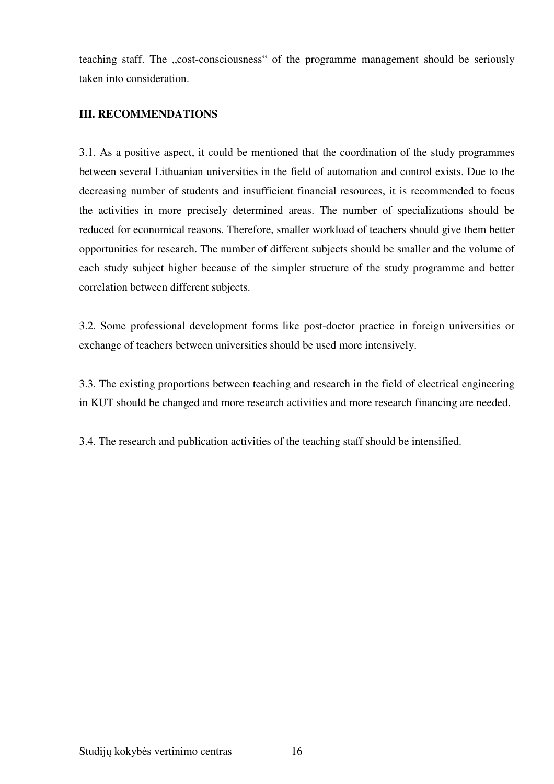teaching staff. The "cost-consciousness" of the programme management should be seriously taken into consideration.

# **III. RECOMMENDATIONS**

3.1. As a positive aspect, it could be mentioned that the coordination of the study programmes between several Lithuanian universities in the field of automation and control exists. Due to the decreasing number of students and insufficient financial resources, it is recommended to focus the activities in more precisely determined areas. The number of specializations should be reduced for economical reasons. Therefore, smaller workload of teachers should give them better opportunities for research. The number of different subjects should be smaller and the volume of each study subject higher because of the simpler structure of the study programme and better correlation between different subjects.

3.2. Some professional development forms like post-doctor practice in foreign universities or exchange of teachers between universities should be used more intensively.

3.3. The existing proportions between teaching and research in the field of electrical engineering in KUT should be changed and more research activities and more research financing are needed.

3.4. The research and publication activities of the teaching staff should be intensified.